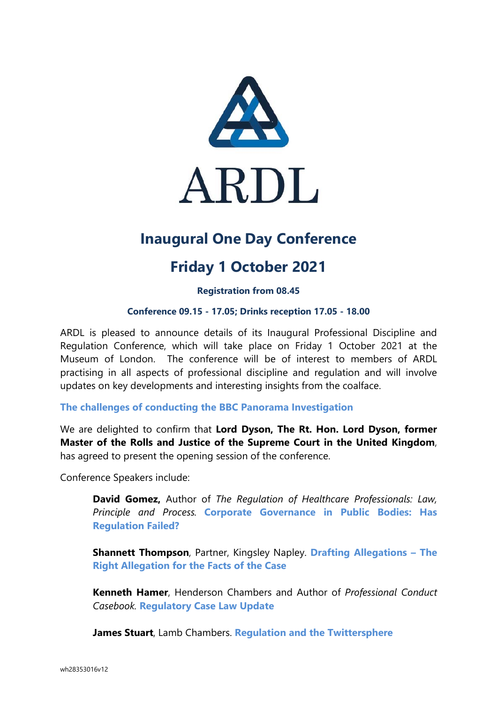

# **Inaugural One Day Conference**

# **Friday 1 October 2021**

**Registration from 08.45** 

### **Conference 09.15 - 17.05; Drinks reception 17.05 - 18.00**

ARDL is pleased to announce details of its Inaugural Professional Discipline and Regulation Conference, which will take place on Friday 1 October 2021 at the Museum of London. The conference will be of interest to members of ARDL practising in all aspects of professional discipline and regulation and will involve updates on key developments and interesting insights from the coalface.

### **The challenges of conducting the BBC Panorama Investigation**

We are delighted to confirm that **Lord Dyson, The Rt. Hon. Lord Dyson, former Master of the Rolls and Justice of the Supreme Court in the United Kingdom**, has agreed to present the opening session of the conference.

Conference Speakers include:

**David Gomez,** Author of *The Regulation of Healthcare Professionals: Law, Principle and Process.* **Corporate Governance in Public Bodies: Has Regulation Failed?**

**Shannett Thompson**, Partner, Kingsley Napley. **Drafting Allegations – The Right Allegation for the Facts of the Case** 

**Kenneth Hamer**, Henderson Chambers and Author of *Professional Conduct Casebook.* **Regulatory Case Law Update** 

**James Stuart**, Lamb Chambers. **Regulation and the Twittersphere**